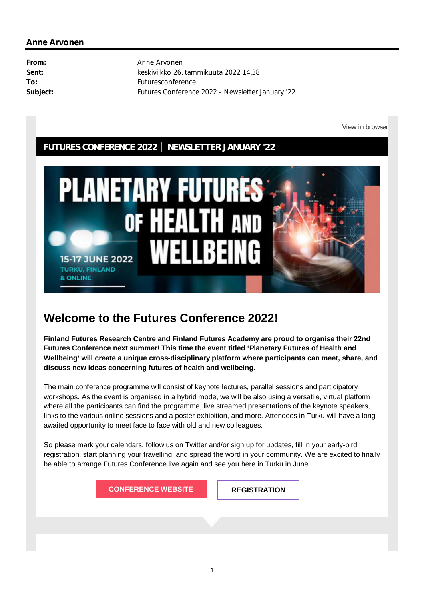### **FUTURES CONFERENCE 2022 │ NEWSLETTER JANUARY '22**



# **Welcome to the Futures Conference 2022!**

**Finland Futures Research Centre and Finland Futures Academy are proud to organise their 22nd Futures Conference next summer! This time the event titled 'Planetary Futures of Health and Wellbeing' will create a unique cross-disciplinary platform where participants can meet, share, and discuss new ideas concerning futures of health and wellbeing.**

The main conference programme will consist of keynote lectures, parallel sessions and participatory workshops. As the event is organised in a hybrid mode, we will be also using a versatile, virtual platform where all the participants can find the programme, live streamed presentations of the keynote speakers, links to the various online sessions and a poster exhibition, and more. Attendees in Turku will have a longawaited opportunity to meet face to face with old and new colleagues.

So please mark your calendars, follow us on Twitter and/or sign up for updates, fill in your early-bird registration, start planning your travelling, and spread the word in your community. We are excited to finally be able to arrange Futures Conference live again and see you here in Turku in June!

**CONFERENCE WEBSITE REGISTRATION**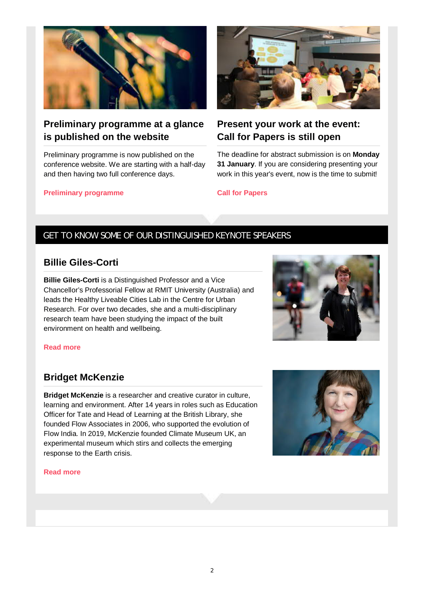

# **Preliminary programme at a glance is published on the website**

Preliminary programme is now published on the conference website. We are starting with a half-day and then having two full conference days.

#### **Preliminary programme**



# **Present your work at the event: Call for Papers is still open**

The deadline for abstract submission is on **Monday 31 January**. If you are considering presenting your work in this year's event, now is the time to submit!

**Call for Papers**

### GET TO KNOW SOME OF OUR DISTINGUISHED KEYNOTE SPEAKERS

### **Billie Giles-Corti**

**Billie Giles-Corti** is a Distinguished Professor and a Vice Chancellor's Professorial Fellow at RMIT University (Australia) and leads the Healthy Liveable Cities Lab in the Centre for Urban Research. For over two decades, she and a multi-disciplinary research team have been studying the impact of the built environment on health and wellbeing.



#### **Read more**

### **Bridget McKenzie**

**Bridget McKenzie** is a researcher and creative curator in culture, learning and environment. After 14 years in roles such as Education Officer for Tate and Head of Learning at the British Library, she founded Flow Associates in 2006, who supported the evolution of Flow India. In 2019, McKenzie founded Climate Museum UK, an experimental museum which stirs and collects the emerging response to the Earth crisis.



#### **Read more**